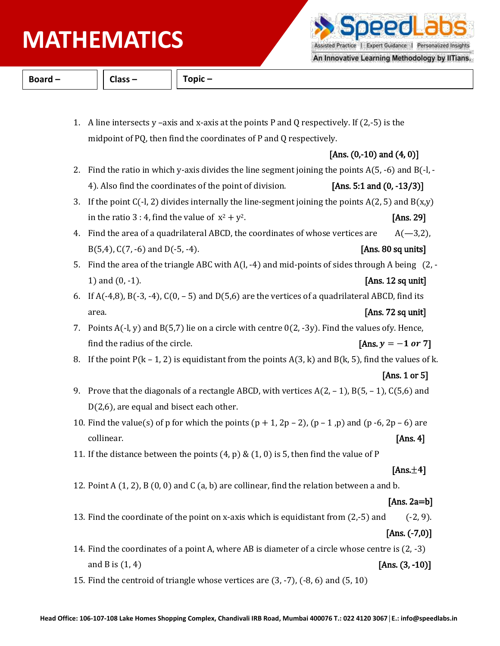# **PHYSICS MATHEMATICS**

Assisted Practice | Expert Guidance | Personalized Insights

ppdl a

An Innovative Learning Methodology by IITians.

**Board – Class – Topic –**

1. A line intersects y –axis and x-axis at the points P and Q respectively. If  $(2,-5)$  is the midpoint of PQ, then find the coordinates of P and Q respectively.

## [Ans.  $(0,-10)$  and  $(4, 0)$ ]

| 2. Find the ratio in which y-axis divides the line segment joining the points $A(5, -6)$ and $B(-1, -1)$ |                              |
|----------------------------------------------------------------------------------------------------------|------------------------------|
| 4). Also find the coordinates of the point of division.                                                  | [Ans. 5:1 and $(0, -13/3)$ ] |

- 3. If the point  $C(-1, 2)$  divides internally the line-segment joining the points  $A(2, 5)$  and  $B(x,y)$ in the ratio 3 : 4, find the value of  $x^2 + y^2$ . [Ans. 29]
- 4. Find the area of a quadrilateral ABCD, the coordinates of whose vertices are  $A(-3,2)$ , B(5,4), C(7, -6) and D(-5, -4). [Ans. 80 sq units]
- 5. Find the area of the triangle ABC with A(l, -4) and mid-points of sides through A being (2, 1) and (0, -1). **[Ans. 12 sq unit]**
- 6. If  $A(-4,8)$ ,  $B(-3,-4)$ ,  $C(0,-5)$  and  $D(5,6)$  are the vertices of a quadrilateral ABCD, find its area. **[Ans. 72 sq unit] Ans. 72 sq unit]**
- 7. Points  $A(-1, y)$  and  $B(5, 7)$  lie on a circle with centre  $O(2, -3y)$ . Find the values ofy. Hence, find the radius of the circle. **[Ans.**  $y = -1$  or 7]
- 8. If the point  $P(k 1, 2)$  is equidistant from the points  $A(3, k)$  and  $B(k, 5)$ , find the values of k.

### [Ans. 1 or 5]

- 9. Prove that the diagonals of a rectangle ABCD, with vertices  $A(2, -1)$ ,  $B(5, -1)$ ,  $C(5, 6)$  and D(2,6), are equal and bisect each other.
- 10. Find the value(s) of p for which the points  $(p + 1, 2p 2)$ ,  $(p 1, p)$  and  $(p 6, 2p 6)$  are  $\alpha$  collinear.  $[Ans. 4]$
- 11. If the distance between the points  $(4, p) \& (1, 0)$  is 5, then find the value of P

### [Ans. $\pm$ 4]

12. Point A  $(1, 2)$ , B  $(0, 0)$  and C  $(a, b)$  are collinear, find the relation between a and b.

### [Ans. 2a=b]

13. Find the coordinate of the point on x-axis which is equidistant from (2,-5) and (-2, 9).

## [Ans. (-7,0)]

- 14. Find the coordinates of a point A, where AB is diameter of a circle whose centre is (2, -3) and B is  $(1, 4)$  [Ans.  $(3, -10)$ ]
- 15. Find the centroid of triangle whose vertices are (3, -7), (-8, 6) and (5, 10)